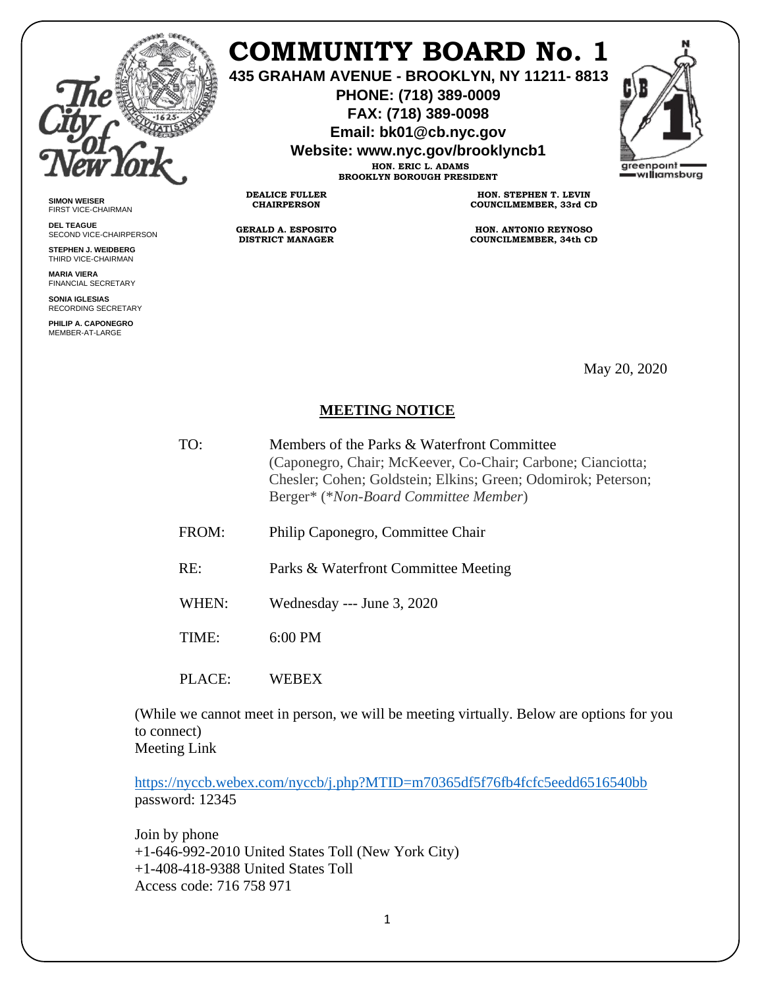

## **COMMUNITY BOARD No. 1**

**435 GRAHAM AVENUE - BROOKLYN, NY 11211- 8813**

**PHONE: (718) 389-0009 FAX: (718) 389-0098**

**Email: bk01@cb.nyc.gov**

**Website: www.nyc.gov/brooklyncb1**

**HON. ERIC L. ADAMS BROOKLYN BOROUGH PRESIDENT**

**DEALICE FULLER CHAIRPERSON**

**GERALD A. ESPOSITO DISTRICT MANAGER**

**HON. STEPHEN T. LEVIN COUNCILMEMBER, 33rd CD**

**HON. ANTONIO REYNOSO COUNCILMEMBER, 34th CD**

May 20, 2020

## **MEETING NOTICE**

- TO: Members of the Parks & Waterfront Committee (Caponegro, Chair; McKeever, Co-Chair; Carbone; Cianciotta; Chesler; Cohen; Goldstein; Elkins; Green; Odomirok; Peterson; Berger\* (\**Non-Board Committee Member*)
- FROM: Philip Caponegro, Committee Chair
- RE: Parks & Waterfront Committee Meeting
- WHEN: Wednesday --- June 3, 2020

TIME: 6:00 PM

PLACE: WEBEX

(While we cannot meet in person, we will be meeting virtually. Below are options for you to connect)

Meeting Link

<https://nyccb.webex.com/nyccb/j.php?MTID=m70365df5f76fb4fcfc5eedd6516540bb> password: 12345

Join by phone +1-646-992-2010 United States Toll (New York City) +1-408-418-9388 United States Toll Access code: 716 758 971



FIRST VICE-CHAIRMAN **DEL TEAGUE** SECOND VICE-CHAIRPERSON

**SIMON WEISER**

**STEPHEN J. WEIDBERG** THIRD VICE-CHAIRMAN

**MARIA VIERA** FINANCIAL SECRETARY

**SONIA IGLESIAS** RECORDING SECRETARY

**PHILIP A. CAPONEGRO** MEMBER-AT-LARGE